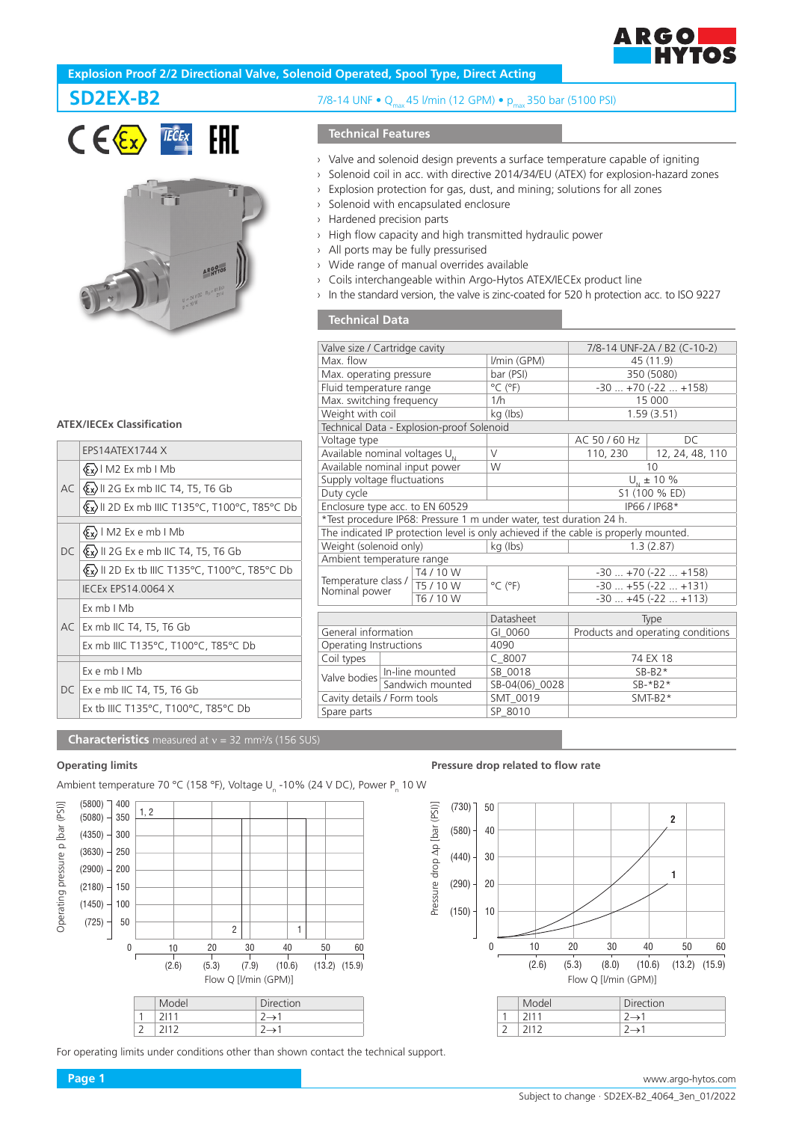

# **Explosion Proof 2/2 Directional Valve, Solenoid Operated, Spool Type, Direct Acting**





#### **ATEX/IECEx Classification**

|                                           | EPS14ATEX1744 X                                                        |  |  |  |
|-------------------------------------------|------------------------------------------------------------------------|--|--|--|
|                                           | $(x)$ M2 Ex mb I Mb                                                    |  |  |  |
|                                           | $AC  \& x\rangle$    2G Ex mb    C T4, T5, T6 Gb                       |  |  |  |
|                                           | <b>Ex) II 2D Ex mb IIIC T135°C, T100°C, T85°C Db</b>                   |  |  |  |
| $\langle \xi_x \rangle$   M2 Ex e mb   Mb |                                                                        |  |  |  |
|                                           |                                                                        |  |  |  |
|                                           | $DC \left( \mathcal{E} \times \right)$ II 2G Ex e mb IIC T4, T5, T6 Gb |  |  |  |
|                                           | Ex II 2D Ex tb IIIC T135°C, T100°C, T85°C Db                           |  |  |  |
|                                           | <b>IECEX EPS14.0064 X</b>                                              |  |  |  |
|                                           | Fx mb I Mb                                                             |  |  |  |
|                                           | AC Ex mb IIC T4, T5, T6 Gb                                             |  |  |  |
|                                           | Ex mb IIIC T135°C, T100°C, T85°C Db                                    |  |  |  |
|                                           |                                                                        |  |  |  |
|                                           | $Fx$ e mb $IMb$                                                        |  |  |  |
|                                           | DC   Ex e mb IIC T4, T5, T6 Gb                                         |  |  |  |
|                                           | Ex tb IIIC T135°C, T100°C, T85°C Db                                    |  |  |  |
|                                           |                                                                        |  |  |  |

# **SD2EX-B2** 7/8-14 UNF • Q<sub>ma</sub> 45 l/min (12 GPM) • p<sub>max</sub> 350 bar (5100 PSI)

# **Technical Features**

- › Valve and solenoid design prevents a surface temperature capable of igniting
- › Solenoid coil in acc. with directive 2014/34/EU (ATEX) for explosion-hazard zones
- › Explosion protection for gas, dust, and mining; solutions for all zones
- › Solenoid with encapsulated enclosure
- › Hardened precision parts
- › High flow capacity and high transmitted hydraulic power
- › All ports may be fully pressurised
- › Wide range of manual overrides available
- › Coils interchangeable within Argo-Hytos ATEX/IECEx product line
- In the standard version, the valve is zinc-coated for 520 h protection acc. to ISO 9227

# **Technical Data**

| Valve size / Cartridge cavity                                |                  |           |                                                                                      | 7/8-14 UNF-2A / B2 (C-10-2)       |                 |
|--------------------------------------------------------------|------------------|-----------|--------------------------------------------------------------------------------------|-----------------------------------|-----------------|
| Max. flow                                                    |                  |           | I/min (GPM)                                                                          | 45 (11.9)                         |                 |
| Max. operating pressure                                      |                  |           | bar (PSI)                                                                            | 350 (5080)                        |                 |
| Fluid temperature range                                      |                  |           | $^{\circ}$ C ( $^{\circ}$ F)                                                         | $-30+70(-22+158)$                 |                 |
| Max. switching frequency                                     |                  |           | 1/h                                                                                  | 15 000                            |                 |
| Weight with coil                                             |                  |           | kg (lbs)                                                                             | 1.59(3.51)                        |                 |
| Technical Data - Explosion-proof Solenoid                    |                  |           |                                                                                      |                                   |                 |
| Voltage type                                                 |                  |           |                                                                                      | AC 50 / 60 Hz                     | DC.             |
| Available nominal voltages $U_{N}$                           |                  |           | $\vee$                                                                               | 110, 230                          | 12, 24, 48, 110 |
| Available nominal input power                                |                  |           | W                                                                                    | 10                                |                 |
| Supply voltage fluctuations                                  |                  |           |                                                                                      | $U_{N}$ ± 10 %                    |                 |
| Duty cycle                                                   |                  |           |                                                                                      | S1 (100 % ED)                     |                 |
| Enclosure type acc. to EN 60529                              |                  |           |                                                                                      | IP66 / IP68*                      |                 |
|                                                              |                  |           | *Test procedure IP68: Pressure 1 m under water, test duration 24 h.                  |                                   |                 |
|                                                              |                  |           | The indicated IP protection level is only achieved if the cable is properly mounted. |                                   |                 |
| Weight (solenoid only)                                       |                  |           | kg (lbs)                                                                             | 1.3(2.87)                         |                 |
| Ambient temperature range                                    |                  |           |                                                                                      |                                   |                 |
|                                                              |                  | T4 / 10 W |                                                                                      | $-30+70(-22+158)$                 |                 |
| Temperature class $/$ $\frac{1}{15}$ / 10 W<br>Nominal power |                  |           | $^{\circ}$ C ( $^{\circ}$ F)                                                         | $-30+55(-22+131)$                 |                 |
|                                                              |                  | T6 / 10 W |                                                                                      | $-30$ $+45$ ( $-22$ $+113$ )      |                 |
|                                                              |                  |           | Datasheet                                                                            |                                   |                 |
| General information                                          |                  |           | GI 0060                                                                              | Type                              |                 |
|                                                              |                  |           | 4090                                                                                 | Products and operating conditions |                 |
| Operating Instructions                                       |                  |           |                                                                                      |                                   |                 |
| Coil types                                                   | In-line mounted  |           | $C$ 8007                                                                             | 74 EX 18<br>$SB-B2*$              |                 |
| Valve bodies                                                 |                  |           | SB 0018                                                                              |                                   |                 |
|                                                              | Sandwich mounted |           | SB-04(06) 0028                                                                       | $SB-*B2*$                         |                 |
| Cavity details / Form tools                                  |                  |           | SMT 0019                                                                             | $SMT-B2*$                         |                 |
| Spare parts                                                  |                  |           | SP 8010                                                                              |                                   |                 |
|                                                              |                  |           |                                                                                      |                                   |                 |

**Characteristics** measured at v = 32 mm<sup>2</sup>/s (156 SUS)

Ambient temperature 70 °C (158 °F), Voltage U<sub>n</sub> -10% (24 V DC), Power P<sub>n</sub> 10 W  $(5800)$   $\Box$  400 Operating pressure p [bar (PSI)] Operating pressure p [bar (PSI)] 1, 2  $(5080) - 350$  $(4350) - 300$  $(3630) - 250$  $(2900) -$ 200 (2180) 150  $(1450) - 100$ 50 (725) 2 1 0 10 20 30 40 50 60  $(2.6)$   $(5.3)$   $(7.9)$   $(10.6)$   $(13.2)$   $(15.9)$ Flow Q [l/min (GPM)] Model Direction  $1 \quad 2111 \quad 2 \rightarrow 1$  $2 \mid 2112 \mid 2 \rightarrow 1$ 

For operating limits under conditions other than shown contact the technical support.

### **Operating limits Pressure drop related to flow rate**



|           | 12111 |              |
|-----------|-------|--------------|
| $\bigcap$ | 7112  | $2 \times 1$ |
|           |       |              |
|           |       |              |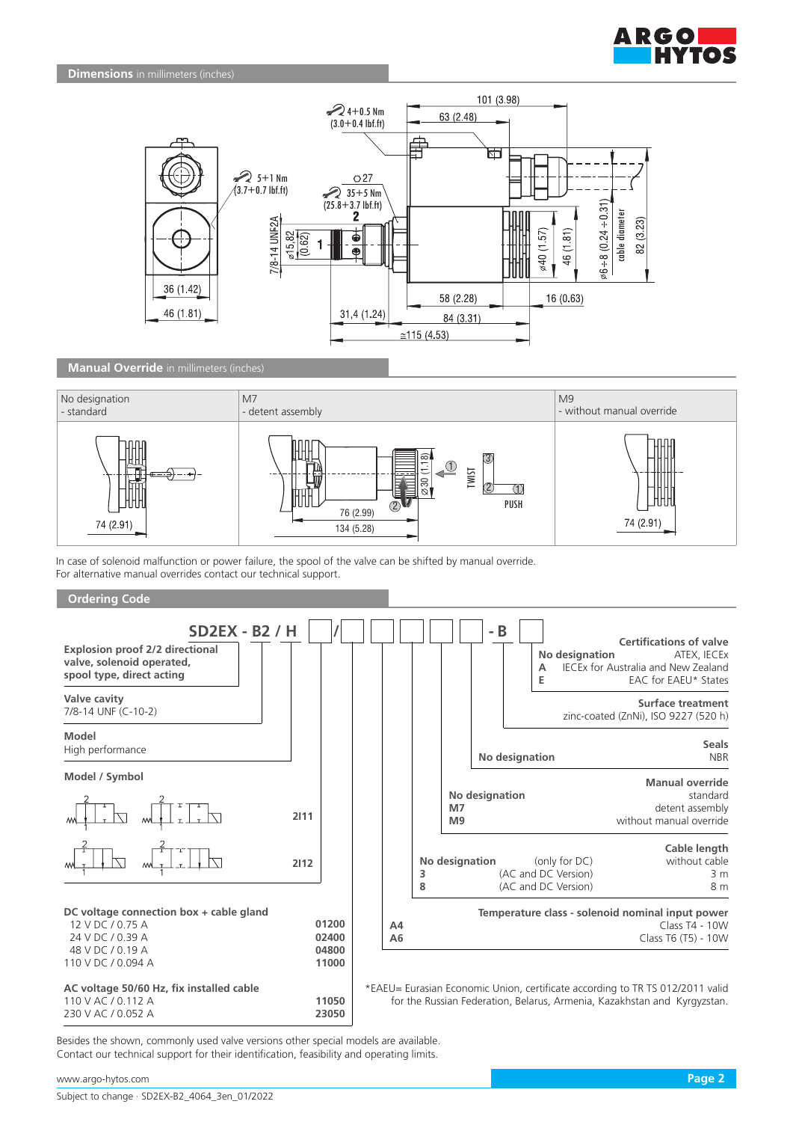



# **Manual Override** in millimeters (inches)



In case of solenoid malfunction or power failure, the spool of the valve can be shifted by manual override. For alternative manual overrides contact our technical support.





Besides the shown, commonly used valve versions other special models are available. Contact our technical support for their identification, feasibility and operating limits.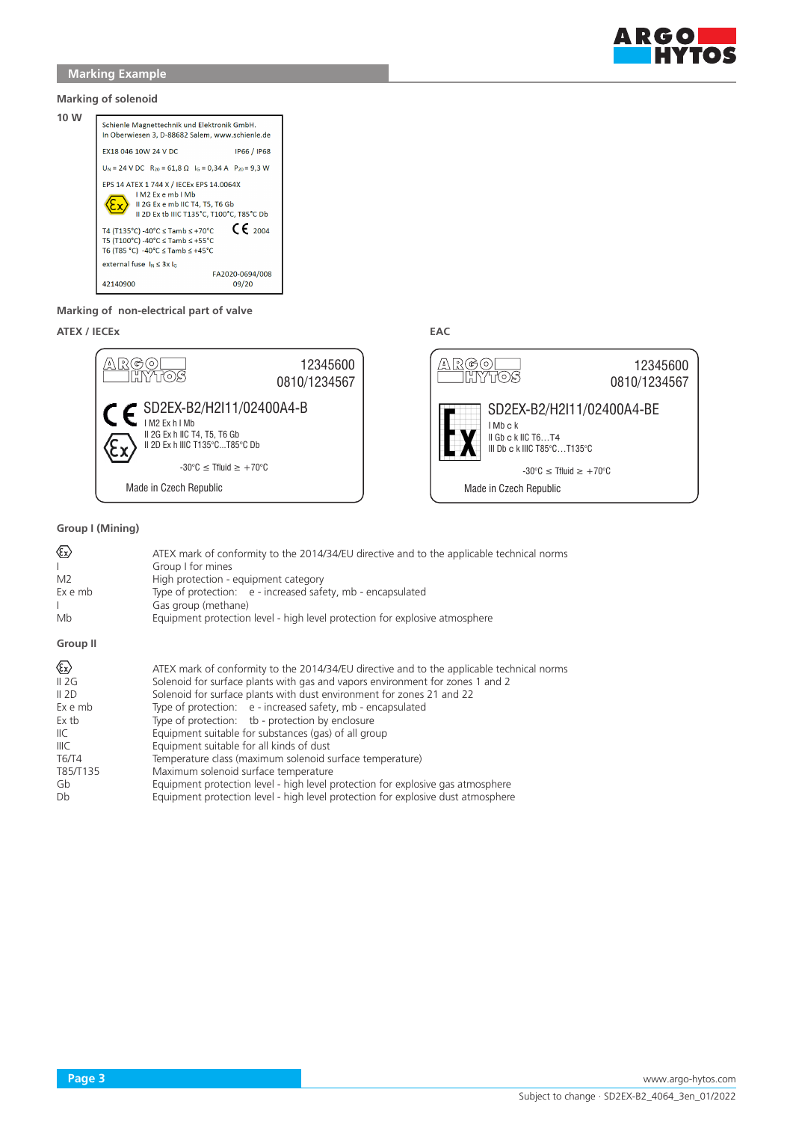

### **Marking of solenoid**



### **Marking of non-electrical part of valve**

# **ATEX / IECEx EAC**



# **Group I (Mining)**

| ☜<br>L<br>M <sub>2</sub><br>Ex e mb<br>Mb                                                  | ATEX mark of conformity to the 2014/34/EU directive and to the applicable technical norms<br>Group I for mines<br>High protection - equipment category<br>Type of protection: e - increased safety, mb - encapsulated<br>Gas group (methane)<br>Equipment protection level - high level protection for explosive atmosphere                                                                                                                                                                                                                                                                                                                                       |
|--------------------------------------------------------------------------------------------|-------------------------------------------------------------------------------------------------------------------------------------------------------------------------------------------------------------------------------------------------------------------------------------------------------------------------------------------------------------------------------------------------------------------------------------------------------------------------------------------------------------------------------------------------------------------------------------------------------------------------------------------------------------------|
| Group II                                                                                   |                                                                                                                                                                                                                                                                                                                                                                                                                                                                                                                                                                                                                                                                   |
| Ex><br>II 2G<br>II 2D<br>Ex e mb<br>Ex tb<br>llС<br>IIIC<br><b>T6/T4</b><br>T85/T135<br>Gb | ATEX mark of conformity to the 2014/34/EU directive and to the applicable technical norms<br>Solenoid for surface plants with gas and vapors environment for zones 1 and 2<br>Solenoid for surface plants with dust environment for zones 21 and 22<br>Type of protection: e - increased safety, mb - encapsulated<br>Type of protection: tb - protection by enclosure<br>Equipment suitable for substances (gas) of all group<br>Equipment suitable for all kinds of dust<br>Temperature class (maximum solenoid surface temperature)<br>Maximum solenoid surface temperature<br>Equipment protection level - high level protection for explosive gas atmosphere |
| Db                                                                                         | Equipment protection level - high level protection for explosive dust atmosphere                                                                                                                                                                                                                                                                                                                                                                                                                                                                                                                                                                                  |